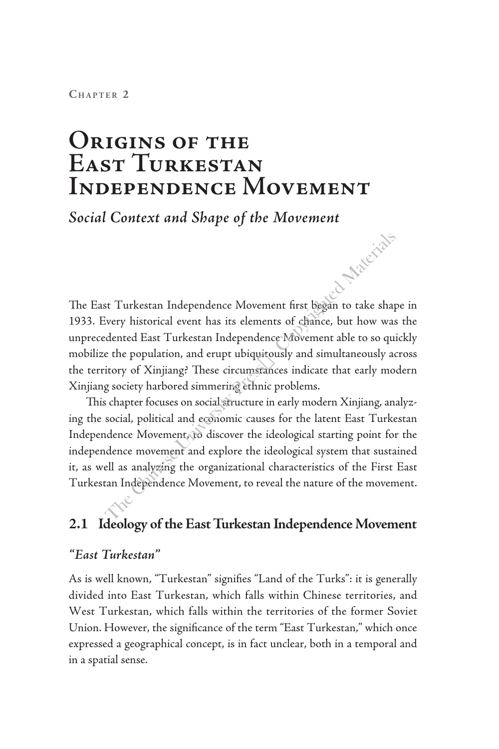# **Origins of the East Turkestan Independence Movement**

*Social Context and Shape of the Movement*

The East Turkestan Independence Movement first began to take shape in 1933. Every historical event has its elements of chance, but how was the unprecedented East Turkestan Independence Movement able to so quickly mobilize the population, and erupt ubiquitously and simultaneously across the territory of Xinjiang? These circumstances indicate that early modern Xinjiang society harbored simmering ethnic problems.

This chapter focuses on social structure in early modern Xinjiang, analyzing the social, political and economic causes for the latent East Turkestan Independence Movement, to discover the ideological starting point for the independence movement and explore the ideological system that sustained it, as well as analyzing the organizational characteristics of the First East Turkestan Independence Movement, to reveal the nature of the movement. of Turkestan Independence Movement first began to take shay<br>ivery historical event has its elements of chance, but how was<br>dented East Turkestan Independence Movement able to so que<br>the population, and erupt ubiquitously a

### **2.1 Ideology of the East Turkestan Independence Movement**

#### *"East Turkestan"*

As is well known, "Turkestan" signifies "Land of the Turks": it is generally divided into East Turkestan, which falls within Chinese territories, and West Turkestan, which falls within the territories of the former Soviet Union. However, the significance of the term "East Turkestan," which once expressed a geographical concept, is in fact unclear, both in a temporal and in a spatial sense.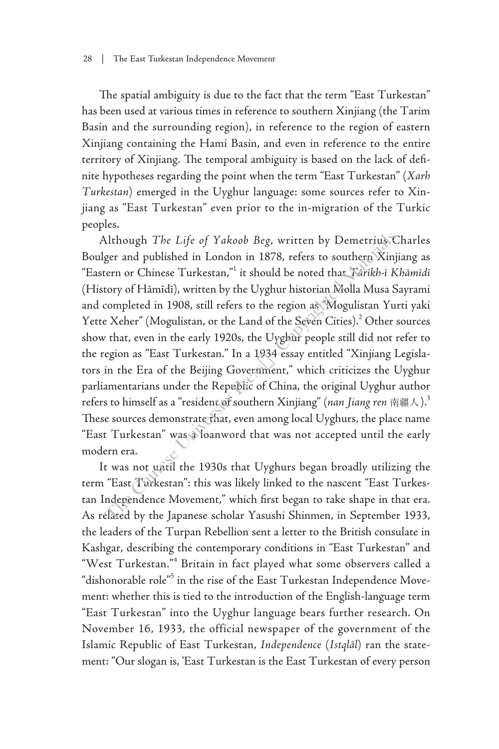The spatial ambiguity is due to the fact that the term "East Turkestan" has been used at various times in reference to southern Xinjiang (the Tarim Basin and the surrounding region), in reference to the region of eastern Xinjiang containing the Hami Basin, and even in reference to the entire territory of Xinjiang. The temporal ambiguity is based on the lack of definite hypotheses regarding the point when the term "East Turkestan" (*Xarh Turkestan*) emerged in the Uyghur language: some sources refer to Xinjiang as "East Turkestan" even prior to the in-migration of the Turkic peoples.

Although *The Life of Yakoob Beg*, written by Demetrius Charles Boulger and published in London in 1878, refers to southern Xinjiang as "Eastern or Chinese Turkestan,"1 it should be noted that *Tārīkh-ī Khāmīdī*  (History of Hāmīdī), written by the Uyghur historian Molla Musa Sayrami and completed in 1908, still refers to the region as "Mogulistan Yurti yaki Yette Xeher" (Mogulistan, or the Land of the Seven Cities).<sup>2</sup> Other sources show that, even in the early 1920s, the Uyghur people still did not refer to the region as "East Turkestan." In a 1934 essay entitled "Xinjiang Legislators in the Era of the Beijing Government," which criticizes the Uyghur parliamentarians under the Republic of China, the original Uyghur author refers to himself as a "resident of southern Xinjiang" (*nan Jiang ren* 南疆人).3 These sources demonstrate that, even among local Uyghurs, the place name "East Turkestan" was a loanword that was not accepted until the early modern era. Michough *The Life of Yakoob Beg,* written by Demetrius C<br>ger and published in London in 1878, refers to southern Xinj<br>cern or Chinese Turkestan," it should be noted that *Narikh-i K*<br>ory of Hämidi), written by the Uyghur

It was not ustil the 1930s that Uyghurs began broadly utilizing the term "East Turkestan": this was likely linked to the nascent "East Turkestan Independence Movement," which first began to take shape in that era. As related by the Japanese scholar Yasushi Shinmen, in September 1933, the leaders of the Turpan Rebellion sent a letter to the British consulate in Kashgar, describing the contemporary conditions in "East Turkestan" and "West Turkestan."<sup>4</sup> Britain in fact played what some observers called a "dishonorable role"<sup>5</sup> in the rise of the East Turkestan Independence Movement: whether this is tied to the introduction of the English-language term "East Turkestan" into the Uyghur language bears further research. On November 16, 1933, the official newspaper of the government of the Islamic Republic of East Turkestan, *Independence* (*Istqlāl*) ran the statement: "Our slogan is, 'East Turkestan is the East Turkestan of every person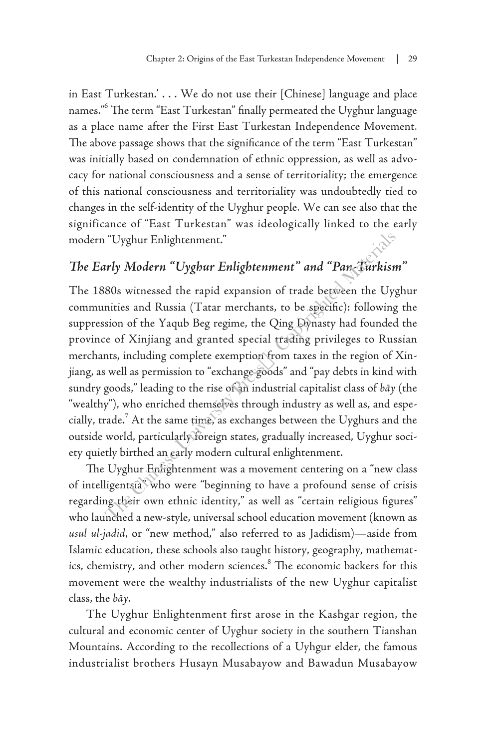in East Turkestan.' . . . We do not use their [Chinese] language and place names."6 The term "East Turkestan" finally permeated the Uyghur language as a place name after the First East Turkestan Independence Movement. The above passage shows that the significance of the term "East Turkestan" was initially based on condemnation of ethnic oppression, as well as advocacy for national consciousness and a sense of territoriality; the emergence of this national consciousness and territoriality was undoubtedly tied to changes in the self-identity of the Uyghur people. We can see also that the significance of "East Turkestan" was ideologically linked to the early modern "Uyghur Enlightenment."

#### *The Early Modern "Uyghur Enlightenment" and "Pan-Turkism"*

The 1880s witnessed the rapid expansion of trade between the Uyghur communities and Russia (Tatar merchants, to be specific): following the suppression of the Yaqub Beg regime, the Qing Dynasty had founded the province of Xinjiang and granted special trading privileges to Russian merchants, including complete exemption from taxes in the region of Xinjiang, as well as permission to "exchange goods" and "pay debts in kind with sundry goods," leading to the rise of an industrial capitalist class of *bāy* (the "wealthy"), who enriched themselves through industry as well as, and especially, trade.  $7$  At the same time, as exchanges between the Uyghurs and the outside world, particularly foreign states, gradually increased, Uyghur society quietly birthed an early modern cultural enlightenment. "Uyghur Enlightenment."<br>
"Thy Modern "Uyghur Enlightenment" and "Pang Turkisn<br>
80s witnessed the rapid expansion of trade between the Uyg<br>
inities and Russia (Tatar merchants, to be specific): following<br>
sion of the Yaqub

The Uyghur Enlightenment was a movement centering on a "new class of intelligentsia" who were "beginning to have a profound sense of crisis regarding their own ethnic identity," as well as "certain religious figures" who launched a new-style, universal school education movement (known as *usul ul-jadid*, or "new method," also referred to as Jadidism)—aside from Islamic education, these schools also taught history, geography, mathematics, chemistry, and other modern sciences.<sup>8</sup> The economic backers for this movement were the wealthy industrialists of the new Uyghur capitalist class, the *bāy*.

The Uyghur Enlightenment first arose in the Kashgar region, the cultural and economic center of Uyghur society in the southern Tianshan Mountains. According to the recollections of a Uyhgur elder, the famous industrialist brothers Husayn Musabayow and Bawadun Musabayow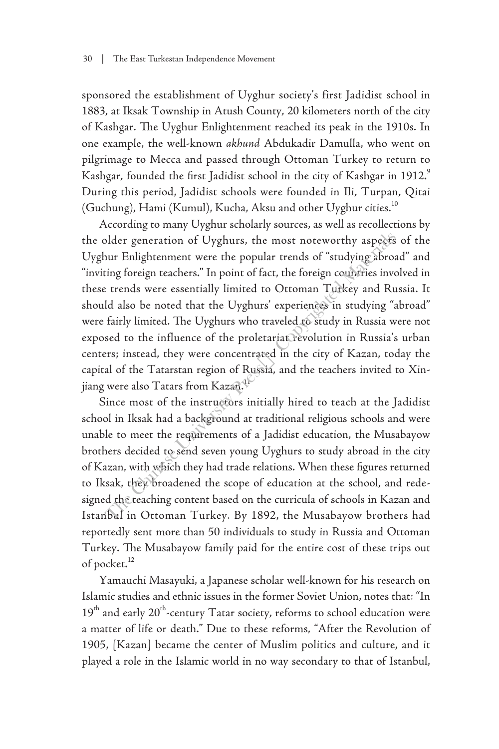sponsored the establishment of Uyghur society's first Jadidist school in 1883, at Iksak Township in Atush County, 20 kilometers north of the city of Kashgar. The Uyghur Enlightenment reached its peak in the 1910s. In one example, the well-known *akhund* Abdukadir Damulla, who went on pilgrimage to Mecca and passed through Ottoman Turkey to return to Kashgar, founded the first Jadidist school in the city of Kashgar in 1912.<sup>9</sup> During this period, Jadidist schools were founded in Ili, Turpan, Qitai (Guchung), Hami (Kumul), Kucha, Aksu and other Uyghur cities.<sup>10</sup>

According to many Uyghur scholarly sources, as well as recollections by the older generation of Uyghurs, the most noteworthy aspects of the Uyghur Enlightenment were the popular trends of "studying abroad" and "inviting foreign teachers." In point of fact, the foreign countries involved in these trends were essentially limited to Ottoman Turkey and Russia. It should also be noted that the Uyghurs' experiences in studying "abroad" were fairly limited. The Uyghurs who traveled to study in Russia were not exposed to the influence of the proletariat revolution in Russia's urban centers; instead, they were concentrated in the city of Kazan, today the capital of the Tatarstan region of Russia, and the teachers invited to Xinjiang were also Tatars from Kazan.<sup>41</sup> older generation of Uyghurs, the most noteworthy aspects<br>uur Enlightenment were the popular trends of "studying abros<br>ting foreign teachers." In point of fact, the foreign countries inve<br>trends were essentially limited to

Since most of the instructors initially hired to teach at the Jadidist school in Iksak had a background at traditional religious schools and were unable to meet the requirements of a Jadidist education, the Musabayow brothers decided to send seven young Uyghurs to study abroad in the city of Kazan, with which they had trade relations. When these figures returned to Iksak, they broadened the scope of education at the school, and redesigned the teaching content based on the curricula of schools in Kazan and Istanbul in Ottoman Turkey. By 1892, the Musabayow brothers had reportedly sent more than 50 individuals to study in Russia and Ottoman Turkey. The Musabayow family paid for the entire cost of these trips out of pocket.<sup>12</sup>

Yamauchi Masayuki, a Japanese scholar well-known for his research on Islamic studies and ethnic issues in the former Soviet Union, notes that: "In  $19<sup>th</sup>$  and early  $20<sup>th</sup>$ -century Tatar society, reforms to school education were a matter of life or death." Due to these reforms, "After the Revolution of 1905, [Kazan] became the center of Muslim politics and culture, and it played a role in the Islamic world in no way secondary to that of Istanbul,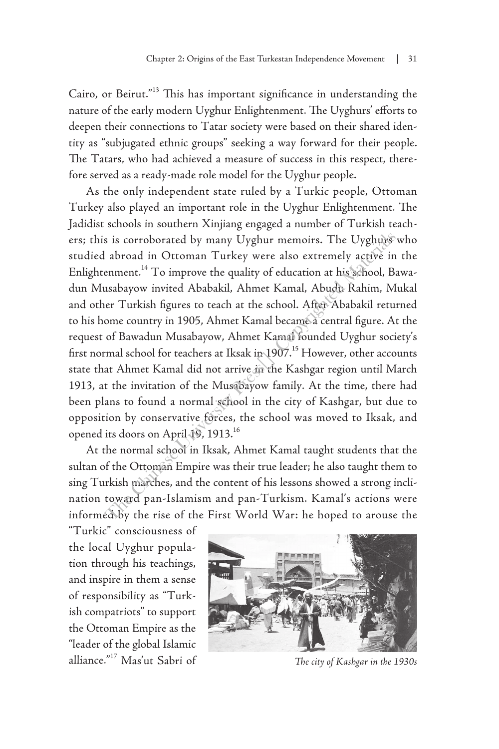Cairo, or Beirut."13 This has important significance in understanding the nature of the early modern Uyghur Enlightenment. The Uyghurs' efforts to deepen their connections to Tatar society were based on their shared identity as "subjugated ethnic groups" seeking a way forward for their people. The Tatars, who had achieved a measure of success in this respect, therefore served as a ready-made role model for the Uyghur people.

As the only independent state ruled by a Turkic people, Ottoman Turkey also played an important role in the Uyghur Enlightenment. The Jadidist schools in southern Xinjiang engaged a number of Turkish teachers; this is corroborated by many Uyghur memoirs. The Uyghurs who studied abroad in Ottoman Turkey were also extremely active in the Enlightenment.<sup>14</sup> To improve the quality of education at his school, Bawadun Musabayow invited Ababakil, Ahmet Kamal, Abudu Rahim, Mukal and other Turkish figures to teach at the school. After Ababakil returned to his home country in 1905, Ahmet Kamal became a central figure. At the request of Bawadun Musabayow, Ahmet Kamal founded Uyghur society's first normal school for teachers at Iksak in 1907.<sup>15</sup> However, other accounts state that Ahmet Kamal did not arrive in the Kashgar region until March 1913, at the invitation of the Musabayow family. At the time, there had been plans to found a normal school in the city of Kashgar, but due to opposition by conservative forces, the school was moved to Iksak, and opened its doors on April 19, 1913.<sup>16</sup> is is corroborated by many Uyghur memoirs. The Uyghuys<br>
abroad in Ottoman Turkey were also extremely active in<br>
enment.<sup>14</sup> To improve the quality of education at his chool, B.<br>
isabayow invited Ababakil, Ahmet Kamal, Abud

At the normal school in Iksak, Ahmet Kamal taught students that the sultan of the Ottoman Empire was their true leader; he also taught them to sing Turkish marches, and the content of his lessons showed a strong inclination toward pan-Islamism and pan-Turkism. Kamal's actions were informed by the rise of the First World War: he hoped to arouse the

"Turkic" consciousness of the local Uyghur population through his teachings, and inspire in them a sense of responsibility as "Turkish compatriots" to support the Ottoman Empire as the "leader of the global Islamic alliance."17 Mas'ut Sabri of *The city of Kashgar in the 1930s*

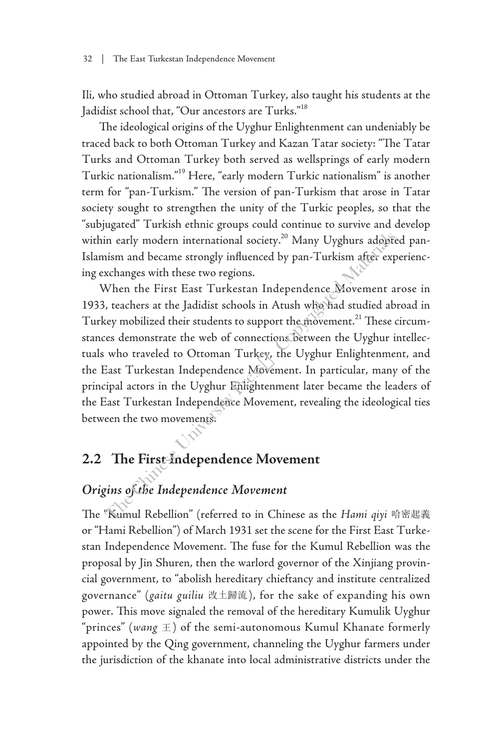Ili, who studied abroad in Ottoman Turkey, also taught his students at the Jadidist school that, "Our ancestors are Turks."<sup>18</sup>

The ideological origins of the Uyghur Enlightenment can undeniably be traced back to both Ottoman Turkey and Kazan Tatar society: "The Tatar Turks and Ottoman Turkey both served as wellsprings of early modern Turkic nationalism."19 Here, "early modern Turkic nationalism" is another term for "pan-Turkism." The version of pan-Turkism that arose in Tatar society sought to strengthen the unity of the Turkic peoples, so that the "subjugated" Turkish ethnic groups could continue to survive and develop within early modern international society.<sup>20</sup> Many Uyghurs adopted pan-Islamism and became strongly influenced by pan-Turkism after experiencing exchanges with these two regions.

When the First East Turkestan Independence Movement arose in 1933, teachers at the Jadidist schools in Atush who had studied abroad in Turkey mobilized their students to support the movement.<sup>21</sup> These circumstances demonstrate the web of connections between the Uyghur intellectuals who traveled to Ottoman Turkey, the Uyghur Enlightenment, and the East Turkestan Independence Movement. In particular, many of the principal actors in the Uyghur Enlightenment later became the leaders of the East Turkestan Independence Movement, revealing the ideological ties between the two movements. in early modern international society.<sup>20</sup> Many Uyghurs adopted<br>
ism and became strongly influenced by pan-Turkism after exp<br>
xchanges with these two regions.<br>
When the First East Turkestan Independence Movement a<br>
i, teac

### **2.2 The First Independence Movement**

### *Origins of the Independence Movement*

The "Kumul Rebellion" (referred to in Chinese as the *Hami qiyi* 哈密起義 or "Hami Rebellion") of March 1931 set the scene for the First East Turkestan Independence Movement. The fuse for the Kumul Rebellion was the proposal by Jin Shuren, then the warlord governor of the Xinjiang provincial government, to "abolish hereditary chieftancy and institute centralized governance" (*gaitu guiliu* 改土歸流), for the sake of expanding his own power. This move signaled the removal of the hereditary Kumulik Uyghur "princes" (wang  $\pm$ ) of the semi-autonomous Kumul Khanate formerly appointed by the Qing government, channeling the Uyghur farmers under the jurisdiction of the khanate into local administrative districts under the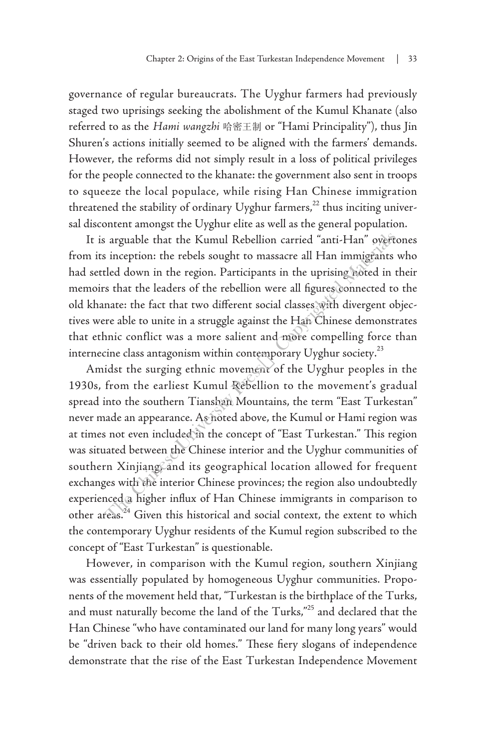governance of regular bureaucrats. The Uyghur farmers had previously staged two uprisings seeking the abolishment of the Kumul Khanate (also referred to as the *Hami wangzhi* 哈密王制 or "Hami Principality"), thus Jin Shuren's actions initially seemed to be aligned with the farmers' demands. However, the reforms did not simply result in a loss of political privileges for the people connected to the khanate: the government also sent in troops to squeeze the local populace, while rising Han Chinese immigration threatened the stability of ordinary Uyghur farmers,<sup>22</sup> thus inciting universal discontent amongst the Uyghur elite as well as the general population.

It is arguable that the Kumul Rebellion carried "anti-Han" overtones from its inception: the rebels sought to massacre all Han immigrants who had settled down in the region. Participants in the uprising noted in their memoirs that the leaders of the rebellion were all figures connected to the old khanate: the fact that two different social classes with divergent objectives were able to unite in a struggle against the Han Chinese demonstrates that ethnic conflict was a more salient and more compelling force than internecine class antagonism within contemporary Uyghur society.<sup>23</sup>

Amidst the surging ethnic movement of the Uyghur peoples in the 1930s, from the earliest Kumul Rebellion to the movement's gradual spread into the southern Tianshan Mountains, the term "East Turkestan" never made an appearance. As noted above, the Kumul or Hami region was at times not even included in the concept of "East Turkestan." This region was situated between the Chinese interior and the Uyghur communities of southern Xinjiang, and its geographical location allowed for frequent exchanges with the interior Chinese provinces; the region also undoubtedly experienced a higher influx of Han Chinese immigrants in comparison to other areas.<sup>24</sup> Given this historical and social context, the extent to which the contemporary Uyghur residents of the Kumul region subscribed to the concept of "East Turkestan" is questionable. is arguable that the Kumul Rebellion carried "anti-Han" over<br>
is inception: the rebels sought to massacre all Han immigrants<br>
eled down in the region. Participants in the uprising hored in<br>
in the leaders of the rebellion

However, in comparison with the Kumul region, southern Xinjiang was essentially populated by homogeneous Uyghur communities. Proponents of the movement held that, "Turkestan is the birthplace of the Turks, and must naturally become the land of the Turks,"<sup>25</sup> and declared that the Han Chinese "who have contaminated our land for many long years" would be "driven back to their old homes." These fiery slogans of independence demonstrate that the rise of the East Turkestan Independence Movement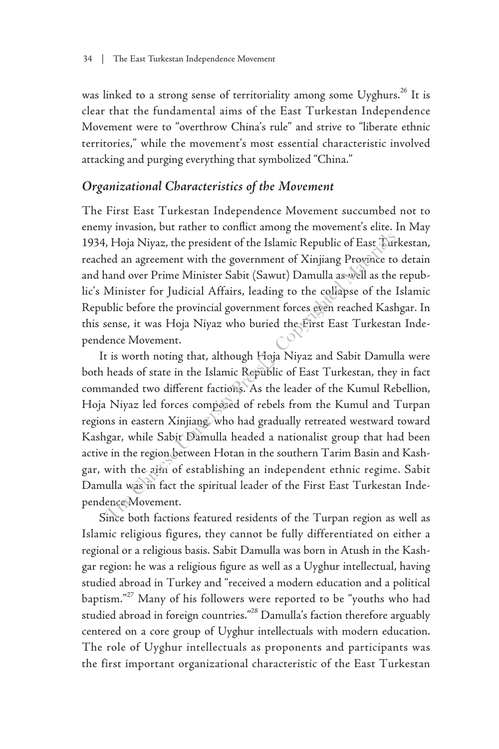was linked to a strong sense of territoriality among some Uyghurs.<sup>26</sup> It is clear that the fundamental aims of the East Turkestan Independence Movement were to "overthrow China's rule" and strive to "liberate ethnic territories," while the movement's most essential characteristic involved attacking and purging everything that symbolized "China."

#### *Organizational Characteristics of the Movement*

The First East Turkestan Independence Movement succumbed not to enemy invasion, but rather to conflict among the movement's elite. In May 1934, Hoja Niyaz, the president of the Islamic Republic of East Turkestan, reached an agreement with the government of Xinjiang Province to detain and hand over Prime Minister Sabit (Sawut) Damulla as well as the republic's Minister for Judicial Affairs, leading to the collapse of the Islamic Republic before the provincial government forces even reached Kashgar. In this sense, it was Hoja Niyaz who buried the First East Turkestan Independence Movement.

It is worth noting that, although Hoja Niyaz and Sabit Damulla were both heads of state in the Islamic Republic of East Turkestan, they in fact commanded two different factions. As the leader of the Kumul Rebellion, Hoja Niyaz led forces composed of rebels from the Kumul and Turpan regions in eastern Xinjiang, who had gradually retreated westward toward Kashgar, while Sabit Damulla headed a nationalist group that had been active in the region between Hotan in the southern Tarim Basin and Kashgar, with the aim of establishing an independent ethnic regime. Sabit Damulla was in fact the spiritual leader of the First East Turkestan Independence Movement. by Hoja Niyaz, the president of the Islamic Republic of East Turned an agreement with the government of Xinjiang Province te<br>and over Prime Minister Sabit (Sawut) Damulla as well as the<br>Minister for Judicial Affairs, lead

Since both factions featured residents of the Turpan region as well as Islamic religious figures, they cannot be fully differentiated on either a regional or a religious basis. Sabit Damulla was born in Atush in the Kashgar region: he was a religious figure as well as a Uyghur intellectual, having studied abroad in Turkey and "received a modern education and a political baptism."<sup>27</sup> Many of his followers were reported to be "youths who had studied abroad in foreign countries."<sup>28</sup> Damulla's faction therefore arguably centered on a core group of Uyghur intellectuals with modern education. The role of Uyghur intellectuals as proponents and participants was the first important organizational characteristic of the East Turkestan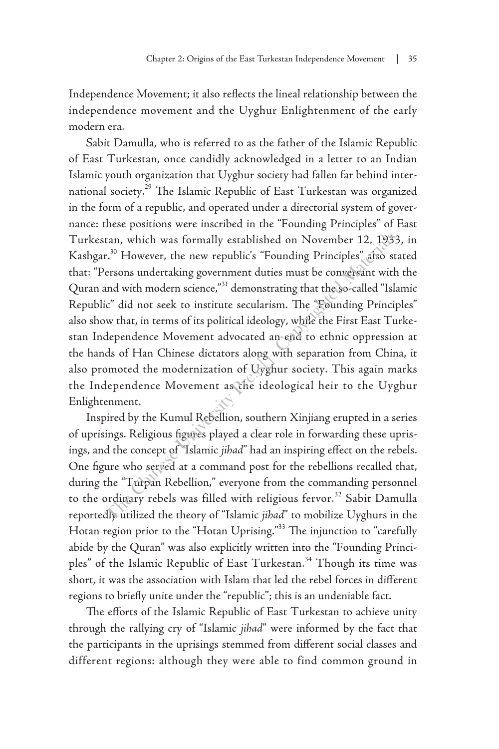Independence Movement; it also reflects the lineal relationship between the independence movement and the Uyghur Enlightenment of the early modern era.

Sabit Damulla, who is referred to as the father of the Islamic Republic of East Turkestan, once candidly acknowledged in a letter to an Indian Islamic youth organization that Uyghur society had fallen far behind international society.29 The Islamic Republic of East Turkestan was organized in the form of a republic, and operated under a directorial system of governance: these positions were inscribed in the "Founding Principles" of East Turkestan, which was formally established on November 12, 1933, in Kashgar.30 However, the new republic's "Founding Principles" also stated that: "Persons undertaking government duties must be conversant with the Quran and with modern science,"31 demonstrating that the so-called "Islamic Republic" did not seek to institute secularism. The "Founding Principles" also show that, in terms of its political ideology, while the First East Turkestan Independence Movement advocated an end to ethnic oppression at the hands of Han Chinese dictators along with separation from China, it also promoted the modernization of Uyghur society. This again marks the Independence Movement as the ideological heir to the Uyghur Enlightenment. tan, which was formally established on November 12, 1937<br>
r.<sup>30</sup> However, the new republic's "Founding Principles" afso stersons undertaking government duties must be conversant with<br>
and with modern science,<sup>731</sup> demonst

Inspired by the Kumul Rebellion, southern Xinjiang erupted in a series of uprisings. Religious figures played a clear role in forwarding these uprisings, and the concept of "Islamic *jihad*" had an inspiring effect on the rebels. One figure who served at a command post for the rebellions recalled that, during the "Turpan Rebellion," everyone from the commanding personnel to the ordinary rebels was filled with religious fervor.<sup>32</sup> Sabit Damulla reportedly utilized the theory of "Islamic *jihad*" to mobilize Uyghurs in the Hotan region prior to the "Hotan Uprising."<sup>33</sup> The injunction to "carefully abide by the Quran" was also explicitly written into the "Founding Principles" of the Islamic Republic of East Turkestan.<sup>34</sup> Though its time was short, it was the association with Islam that led the rebel forces in different regions to briefly unite under the "republic"; this is an undeniable fact.

The efforts of the Islamic Republic of East Turkestan to achieve unity through the rallying cry of "Islamic *jihad*" were informed by the fact that the participants in the uprisings stemmed from different social classes and different regions: although they were able to find common ground in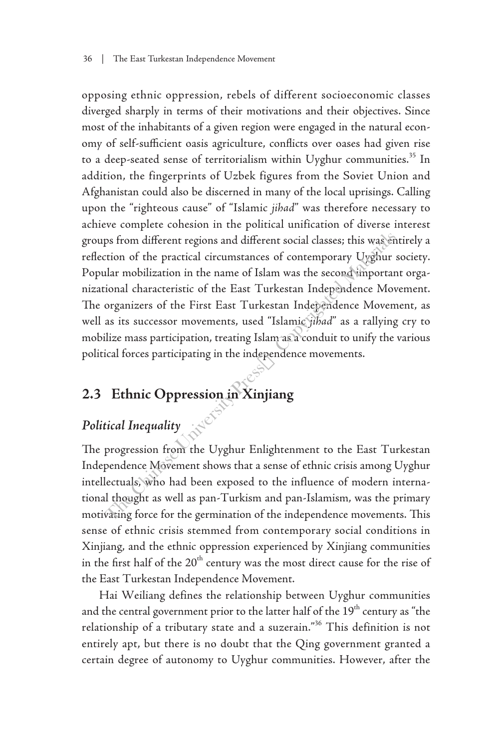opposing ethnic oppression, rebels of different socioeconomic classes diverged sharply in terms of their motivations and their objectives. Since most of the inhabitants of a given region were engaged in the natural economy of self-sufficient oasis agriculture, conflicts over oases had given rise to a deep-seated sense of territorialism within Uyghur communities.<sup>35</sup> In addition, the fingerprints of Uzbek figures from the Soviet Union and Afghanistan could also be discerned in many of the local uprisings. Calling upon the "righteous cause" of "Islamic *jihad*" was therefore necessary to achieve complete cohesion in the political unification of diverse interest groups from different regions and different social classes; this was entirely a reflection of the practical circumstances of contemporary Uyghur society. Popular mobilization in the name of Islam was the second important organizational characteristic of the East Turkestan Independence Movement. The organizers of the First East Turkestan Independence Movement, as well as its successor movements, used "Islamic *jihad*" as a rallying cry to mobilize mass participation, treating Islam as a conduit to unify the various political forces participating in the independence movements. position of the practical circumstances of contemporary Uyghur<br>
tion of the practical circumstances of contemporary Uyghur<br>
lar mobilization in the name of Islam was the second importational<br>
characteristic of the East Tur

## **2.3 Ethnic Oppression in Xinjiang**

### *Political Inequality*

The progression from the Uyghur Enlightenment to the East Turkestan Independence Movement shows that a sense of ethnic crisis among Uyghur intellectuals, who had been exposed to the influence of modern international thought as well as pan-Turkism and pan-Islamism, was the primary motivating force for the germination of the independence movements. This sense of ethnic crisis stemmed from contemporary social conditions in Xinjiang, and the ethnic oppression experienced by Xinjiang communities in the first half of the  $20<sup>th</sup>$  century was the most direct cause for the rise of the East Turkestan Independence Movement.

Hai Weiliang defines the relationship between Uyghur communities and the central government prior to the latter half of the  $19<sup>th</sup>$  century as "the relationship of a tributary state and a suzerain."<sup>36</sup> This definition is not entirely apt, but there is no doubt that the Qing government granted a certain degree of autonomy to Uyghur communities. However, after the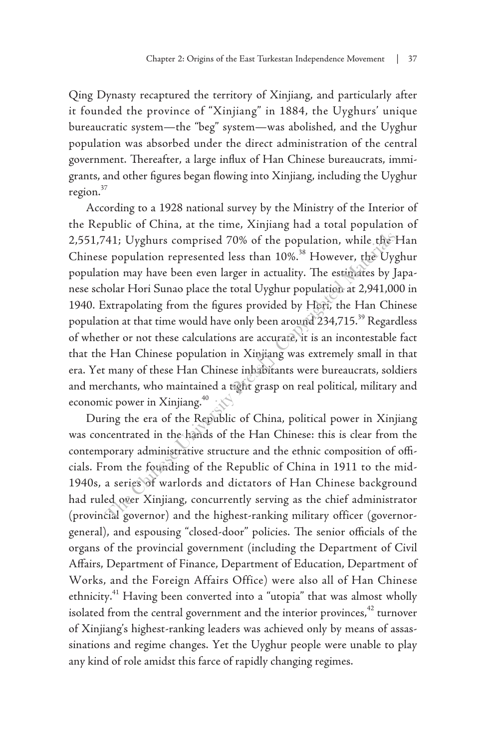Qing Dynasty recaptured the territory of Xinjiang, and particularly after it founded the province of "Xinjiang" in 1884, the Uyghurs' unique bureaucratic system—the "beg" system—was abolished, and the Uyghur population was absorbed under the direct administration of the central government. Thereafter, a large influx of Han Chinese bureaucrats, immigrants, and other figures began flowing into Xinjiang, including the Uyghur region.<sup>37</sup>

According to a 1928 national survey by the Ministry of the Interior of the Republic of China, at the time, Xinjiang had a total population of 2,551,741; Uyghurs comprised 70% of the population, while the Han Chinese population represented less than 10%.<sup>38</sup> However, the Uyghur population may have been even larger in actuality. The estimates by Japanese scholar Hori Sunao place the total Uyghur population at 2,941,000 in 1940. Extrapolating from the figures provided by Hori, the Han Chinese population at that time would have only been around  $234,715.^{39}$  Regardless of whether or not these calculations are accurate, it is an incontestable fact that the Han Chinese population in Xinjiang was extremely small in that era. Yet many of these Han Chinese inhabitants were bureaucrats, soldiers and merchants, who maintained a tight grasp on real political, military and economic power in Xinjiang.<sup>40</sup> (41; Uyghurs comprised 70% of the population, while the<br>
e population represented less than 10%.<sup>38</sup> However, the Uyg<br>
ion may have been even larger in actuality. The estimates by J<br>
iolar Hori Sunao place the total Uyghu

During the era of the Republic of China, political power in Xinjiang was concentrated in the hands of the Han Chinese: this is clear from the contemporary administrative structure and the ethnic composition of officials. From the founding of the Republic of China in 1911 to the mid-1940s, a series of warlords and dictators of Han Chinese background had ruled over Xinjiang, concurrently serving as the chief administrator (provincial governor) and the highest-ranking military officer (governorgeneral), and espousing "closed-door" policies. The senior officials of the organs of the provincial government (including the Department of Civil Affairs, Department of Finance, Department of Education, Department of Works, and the Foreign Affairs Office) were also all of Han Chinese ethnicity.<sup>41</sup> Having been converted into a "utopia" that was almost wholly isolated from the central government and the interior provinces,<sup>42</sup> turnover of Xinjiang's highest-ranking leaders was achieved only by means of assassinations and regime changes. Yet the Uyghur people were unable to play any kind of role amidst this farce of rapidly changing regimes.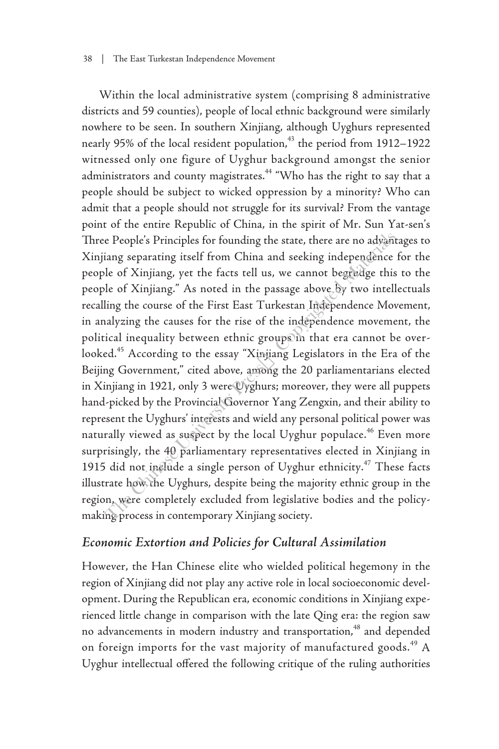Within the local administrative system (comprising 8 administrative districts and 59 counties), people of local ethnic background were similarly nowhere to be seen. In southern Xinjiang, although Uyghurs represented nearly 95% of the local resident population,<sup>43</sup> the period from 1912–1922 witnessed only one figure of Uyghur background amongst the senior administrators and county magistrates. $44$  "Who has the right to say that a people should be subject to wicked oppression by a minority? Who can admit that a people should not struggle for its survival? From the vantage point of the entire Republic of China, in the spirit of Mr. Sun Yat-sen's Three People's Principles for founding the state, there are no advantages to Xinjiang separating itself from China and seeking independence for the people of Xinjiang, yet the facts tell us, we cannot begrudge this to the people of Xinjiang." As noted in the passage above by two intellectuals recalling the course of the First East Turkestan Independence Movement, in analyzing the causes for the rise of the independence movement, the political inequality between ethnic groups in that era cannot be overlooked.45 According to the essay "Xinjiang Legislators in the Era of the Beijing Government," cited above, among the 20 parliamentarians elected in Xinjiang in 1921, only 3 were Uyghurs; moreover, they were all puppets hand-picked by the Provincial Governor Yang Zengxin, and their ability to represent the Uyghurs' interests and wield any personal political power was naturally viewed as suspect by the local Uyghur populace.<sup>46</sup> Even more surprisingly, the 40 parliamentary representatives elected in Xinjiang in 1915 did not include a single person of Uyghur ethnicity.<sup>47</sup> These facts illustrate how the Uyghurs, despite being the majority ethnic group in the region, were completely excluded from legislative bodies and the policymaking process in contemporary Xinjiang society. e People's Principles for founding the state, there are no advaniang separating itself from China and seeking independence<br>le of Xinjiang, yet the facts tell us, we cannot begindly this<br>le of Xinjiang," As noted in the pas

#### *Economic Extortion and Policies for Cultural Assimilation*

However, the Han Chinese elite who wielded political hegemony in the region of Xinjiang did not play any active role in local socioeconomic development. During the Republican era, economic conditions in Xinjiang experienced little change in comparison with the late Qing era: the region saw no advancements in modern industry and transportation,<sup>48</sup> and depended on foreign imports for the vast majority of manufactured goods.<sup>49</sup> A Uyghur intellectual offered the following critique of the ruling authorities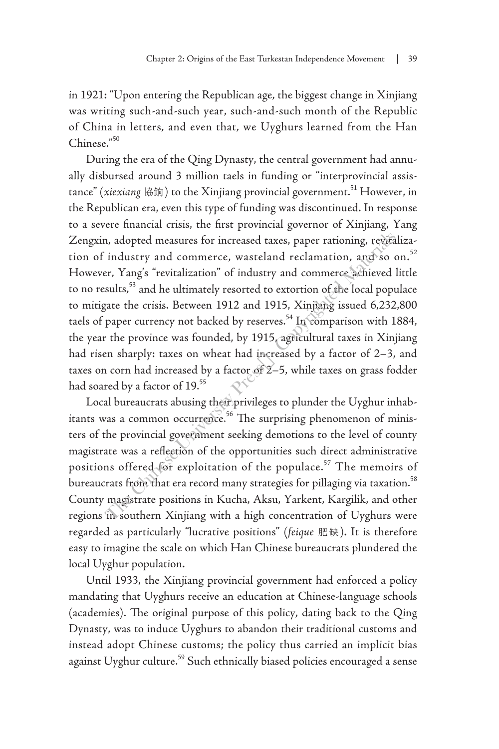in 1921: "Upon entering the Republican age, the biggest change in Xinjiang was writing such-and-such year, such-and-such month of the Republic of China in letters, and even that, we Uyghurs learned from the Han Chinese."<sup>50</sup>

During the era of the Qing Dynasty, the central government had annually disbursed around 3 million taels in funding or "interprovincial assistance" (xiexiang 協餉) to the Xinjiang provincial government.<sup>51</sup> However, in the Republican era, even this type of funding was discontinued. In response to a severe financial crisis, the first provincial governor of Xinjiang, Yang Zengxin, adopted measures for increased taxes, paper rationing, revitalization of industry and commerce, wasteland reclamation, and so on.<sup>52</sup> However, Yang's "revitalization" of industry and commerce achieved little to no results,53 and he ultimately resorted to extortion of the local populace to mitigate the crisis. Between 1912 and 1915, Xinjiang issued 6,232,800 taels of paper currency not backed by reserves.<sup>54</sup> In comparison with 1884, the year the province was founded, by 1915, agricultural taxes in Xinjiang had risen sharply: taxes on wheat had increased by a factor of 2–3, and taxes on corn had increased by a factor of 2–5, while taxes on grass fodder had soared by a factor of 19.<sup>55</sup> a, adopted measures for increased taxes, paper rationing, revision industry and commerce, wasteland reclamation, and so er, Yang's "revitalization" of industry and commerce achieved sults,<sup>53</sup> and he ultimately resorted t

Local bureaucrats abusing their privileges to plunder the Uyghur inhabitants was a common occurrence.<sup>56</sup> The surprising phenomenon of ministers of the provincial government seeking demotions to the level of county magistrate was a reflection of the opportunities such direct administrative positions offered for exploitation of the populace.<sup>57</sup> The memoirs of bureaucrats from that era record many strategies for pillaging via taxation.<sup>58</sup> County magistrate positions in Kucha, Aksu, Yarkent, Kargilik, and other regions in southern Xinjiang with a high concentration of Uyghurs were regarded as particularly "lucrative positions" (*feique* 肥缺). It is therefore easy to imagine the scale on which Han Chinese bureaucrats plundered the local Uyghur population.

Until 1933, the Xinjiang provincial government had enforced a policy mandating that Uyghurs receive an education at Chinese-language schools (academies). The original purpose of this policy, dating back to the Qing Dynasty, was to induce Uyghurs to abandon their traditional customs and instead adopt Chinese customs; the policy thus carried an implicit bias against Uyghur culture.<sup>59</sup> Such ethnically biased policies encouraged a sense